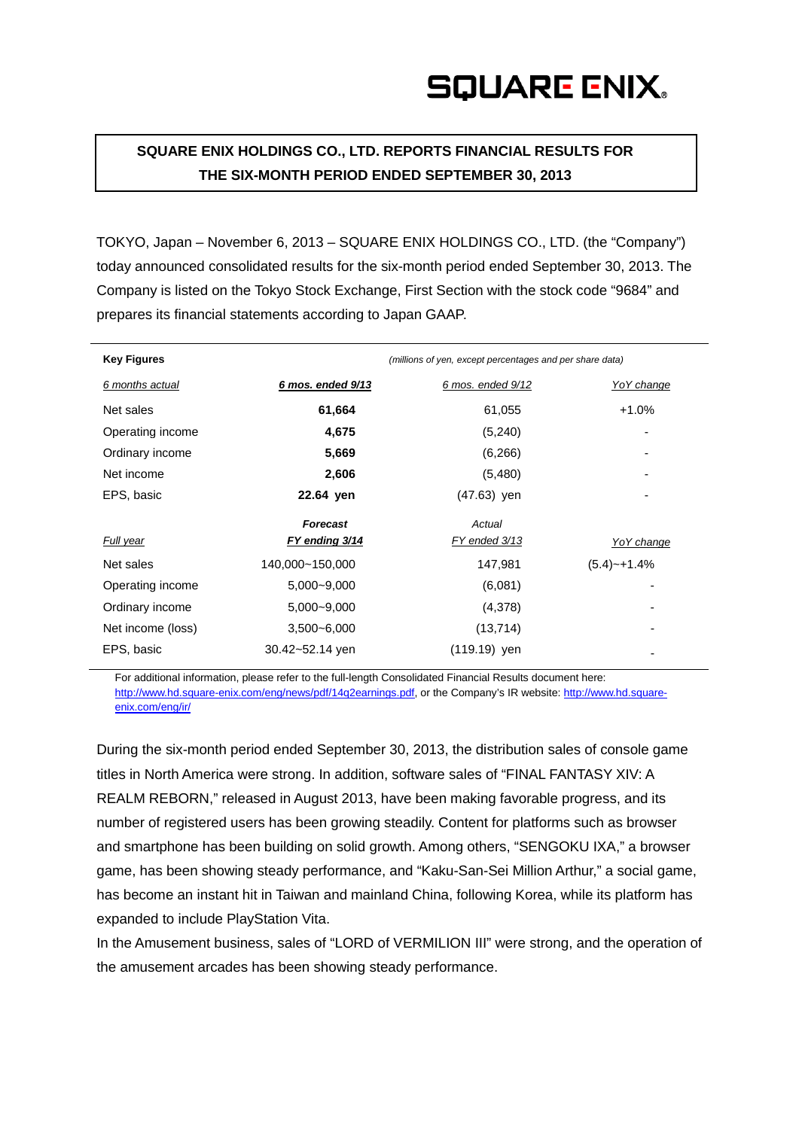**SQUARE ENIX HOLDINGS CO., LTD. REPORTS FINANCIAL RESULTS FOR THE SIX-MONTH PERIOD ENDED SEPTEMBER 30, 2013**

TOKYO, Japan – November 6, 2013 – SQUARE ENIX HOLDINGS CO., LTD. (the "Company") today announced consolidated results for the six-month period ended September 30, 2013. The Company is listed on the Tokyo Stock Exchange, First Section with the stock code "9684" and prepares its financial statements according to Japan GAAP.

| <b>Key Figures</b> |                   | (millions of yen, except percentages and per share data) |                   |  |
|--------------------|-------------------|----------------------------------------------------------|-------------------|--|
| 6 months actual    | 6 mos. ended 9/13 | 6 mos. ended 9/12                                        | <b>YoY</b> change |  |
| Net sales          | 61,664            | 61,055                                                   | $+1.0%$           |  |
| Operating income   | 4,675             | (5,240)                                                  |                   |  |
| Ordinary income    | 5,669             | (6,266)                                                  |                   |  |
| Net income         | 2,606             | (5,480)                                                  |                   |  |
| EPS, basic         | 22.64 yen         | $(47.63)$ yen                                            |                   |  |
|                    | Forecast          | Actual                                                   |                   |  |
| Full year          | FY ending 3/14    | FY ended 3/13                                            | YoY change        |  |
| Net sales          | 140,000~150,000   | 147,981                                                  | $(5.4)$ ~+1.4%    |  |
| Operating income   | 5,000~9,000       | (6,081)                                                  |                   |  |
| Ordinary income    | 5,000~9,000       | (4,378)                                                  |                   |  |
| Net income (loss)  | $3,500 - 6,000$   | (13, 714)                                                |                   |  |
| EPS, basic         | 30.42~52.14 yen   | (119.19) yen                                             |                   |  |

For additional information, please refer to the full-length Consolidated Financial Results document here: http://www.hd.square-enix.com/eng/news/pdf/14q2earnings.pdf, or the Company's IR website: [http://www.hd.square](http://www.hd.square-enix.com/eng/ir/)[enix.com/eng/ir/](http://www.hd.square-enix.com/eng/ir/)

During the six-month period ended September 30, 2013, the distribution sales of console game titles in North America were strong. In addition, software sales of "FINAL FANTASY XIV: A REALM REBORN," released in August 2013, have been making favorable progress, and its number of registered users has been growing steadily. Content for platforms such as browser and smartphone has been building on solid growth. Among others, "SENGOKU IXA," a browser game, has been showing steady performance, and "Kaku-San-Sei Million Arthur," a social game, has become an instant hit in Taiwan and mainland China, following Korea, while its platform has expanded to include PlayStation Vita.

In the Amusement business, sales of "LORD of VERMILION III" were strong, and the operation of the amusement arcades has been showing steady performance.